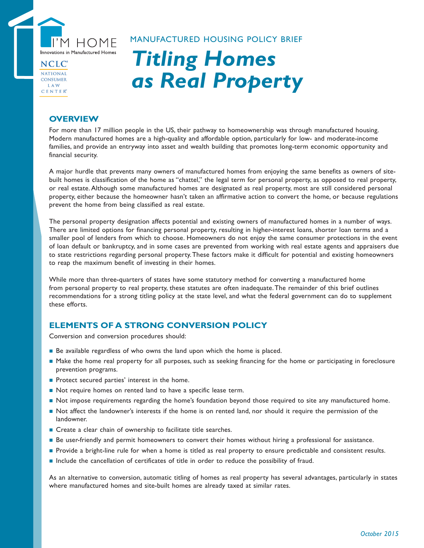

NATIONAL **CONSUMER LAW** CENTER®

## MANUFACTURED HOUSING POLICY BRIEF

# *Titling Homes as Real Property*

## **OVERVIEW**

For more than 17 million people in the US, their pathway to homeownership was through manufactured housing. Modern manufactured homes are a high-quality and affordable option, particularly for low- and moderate-income families, and provide an entryway into asset and wealth building that promotes long-term economic opportunity and financial security.

A major hurdle that prevents many owners of manufactured homes from enjoying the same benefits as owners of sitebuilt homes is classification of the home as "chattel," the legal term for personal property, as opposed to real property, or real estate. Although some manufactured homes are designated as real property, most are still considered personal property, either because the homeowner hasn't taken an affirmative action to convert the home, or because regulations prevent the home from being classified as real estate.

The personal property designation affects potential and existing owners of manufactured homes in a number of ways. There are limited options for financing personal property, resulting in higher-interest loans, shorter loan terms and a smaller pool of lenders from which to choose. Homeowners do not enjoy the same consumer protections in the event of loan default or bankruptcy, and in some cases are prevented from working with real estate agents and appraisers due to state restrictions regarding personal property. These factors make it difficult for potential and existing homeowners to reap the maximum benefit of investing in their homes.

While more than three-quarters of states have some statutory method for converting a manufactured home from personal property to real property, these statutes are often inadequate. The remainder of this brief outlines recommendations for a strong titling policy at the state level, and what the federal government can do to supplement these efforts.

# **ELEMENTS OF A STRONG CONVERSION POLICY**

Conversion and conversion procedures should:

- Be available regardless of who owns the land upon which the home is placed.
- Make the home real property for all purposes, such as seeking financing for the home or participating in foreclosure prevention programs.
- Protect secured parties' interest in the home.
- Not require homes on rented land to have a specific lease term.
- Not impose requirements regarding the home's foundation beyond those required to site any manufactured home.
- Not affect the landowner's interests if the home is on rented land, nor should it require the permission of the landowner.
- Create a clear chain of ownership to facilitate title searches.
- Be user-friendly and permit homeowners to convert their homes without hiring a professional for assistance.
- Provide a bright-line rule for when a home is titled as real property to ensure predictable and consistent results.
- Include the cancellation of certificates of title in order to reduce the possibility of fraud.

As an alternative to conversion, automatic titling of homes as real property has several advantages, particularly in states where manufactured homes and site-built homes are already taxed at similar rates.